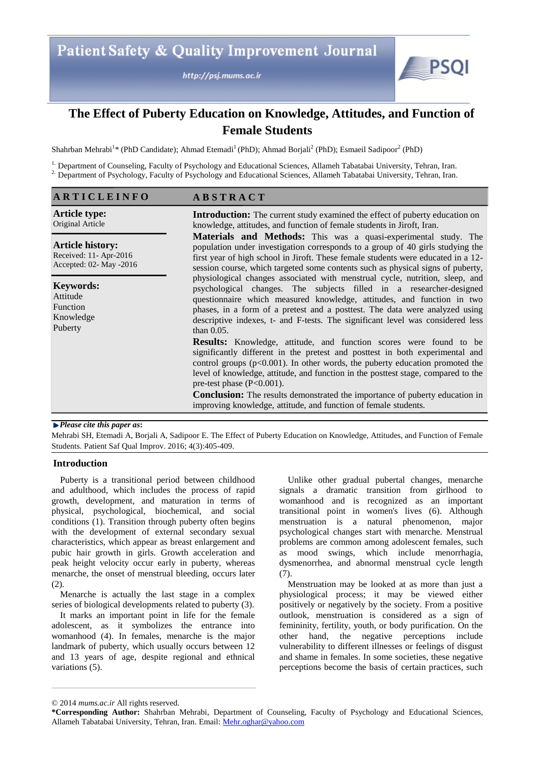http://psj.mums.ac.ir



# **The Effect of Puberty Education on Knowledge, Attitudes, and Function of Female Students**

Shahrban Mehrabi<sup>1</sup>\* (PhD Candidate); Ahmad Etemadi<sup>1</sup> (PhD); Ahmad Borjali<sup>2</sup> (PhD); Esmaeil Sadipoor<sup>2</sup> (PhD)

<sup>1.</sup> Department of Counseling, Faculty of Psychology and Educational Sciences, Allameh Tabatabai University, Tehran, Iran. <sup>2</sup>. Department of Psychology, Faculty of Psychology and Educational Sciences, Allameh Tabatabai University, Tehran, Iran.

| <b>ARTICLEINFO</b>                                                           | <b>ABSTRACT</b>                                                                                                                                                                                                                                                                                                                                                                                                 |  |  |
|------------------------------------------------------------------------------|-----------------------------------------------------------------------------------------------------------------------------------------------------------------------------------------------------------------------------------------------------------------------------------------------------------------------------------------------------------------------------------------------------------------|--|--|
| <b>Article type:</b><br>Original Article                                     | <b>Introduction:</b> The current study examined the effect of puberty education on<br>knowledge, attitudes, and function of female students in Jiroft, Iran.                                                                                                                                                                                                                                                    |  |  |
| <b>Article history:</b><br>Received: 11- Apr-2016<br>Accepted: 02- May -2016 | <b>Materials and Methods:</b> This was a quasi-experimental study. The<br>population under investigation corresponds to a group of 40 girls studying the<br>first year of high school in Jiroft. These female students were educated in a 12-<br>session course, which targeted some contents such as physical signs of puberty,                                                                                |  |  |
| <b>Keywords:</b><br>Attitude<br>Function<br>Knowledge<br>Puberty             | physiological changes associated with menstrual cycle, nutrition, sleep, and<br>psychological changes. The subjects filled in a researcher-designed<br>questionnaire which measured knowledge, attitudes, and function in two<br>phases, in a form of a pretest and a posttest. The data were analyzed using<br>descriptive indexes, t- and F-tests. The significant level was considered less<br>than $0.05$ . |  |  |
|                                                                              | <b>Results:</b> Knowledge, attitude, and function scores were found to be<br>significantly different in the pretest and posttest in both experimental and<br>control groups $(p<0.001)$ . In other words, the puberty education promoted the<br>level of knowledge, attitude, and function in the posttest stage, compared to the<br>pre-test phase $(P<0.001)$ .                                               |  |  |
|                                                                              | <b>Conclusion:</b> The results demonstrated the importance of puberty education in<br>improving knowledge, attitude, and function of female students.                                                                                                                                                                                                                                                           |  |  |

## *Please cite this paper as***:**

Mehrabi SH, Etemadi A, Borjali A, Sadipoor E. The Effect of Puberty Education on Knowledge, Attitudes, and Function of Female Students. Patient Saf Qual Improv. 2016; 4(3):405-409.

# **Introduction**

Puberty is a transitional period between childhood and adulthood, which includes the process of rapid growth, development, and maturation in terms of physical, psychological, biochemical, and social conditions (1). Transition through puberty often begins with the development of external secondary sexual characteristics, which appear as breast enlargement and pubic hair growth in girls. Growth acceleration and peak height velocity occur early in puberty, whereas menarche, the onset of menstrual bleeding, occurs later (2).

Menarche is actually the last stage in a complex series of biological developments related to puberty (3).

It marks an important point in life for the female adolescent, as it symbolizes the entrance into womanhood (4). In females, menarche is the major landmark of puberty, which usually occurs between 12 and 13 years of age, despite regional and ethnical variations (5).

Unlike other gradual pubertal changes, menarche signals a dramatic transition from girlhood to womanhood and is recognized as an important transitional point in women's lives (6). Although menstruation is a natural phenomenon, major psychological changes start with menarche. Menstrual problems are common among adolescent females, such as mood swings, which include menorrhagia, dysmenorrhea, and abnormal menstrual cycle length (7).

Menstruation may be looked at as more than just a physiological process; it may be viewed either positively or negatively by the society. From a positive outlook, menstruation is considered as a sign of femininity, fertility, youth, or body purification. On the other hand, the negative perceptions include vulnerability to different illnesses or feelings of disgust and shame in females. In some societies, these negative perceptions become the basis of certain practices, such

<sup>© 2014</sup> *mums.ac.ir* All rights reserved.

**<sup>\*</sup>Corresponding Author:** Shahrban Mehrabi, Department of Counseling, Faculty of Psychology and Educational Sciences, Allameh Tabatabai University, Tehran, Iran. Email: Mehr.oghar@yahoo.com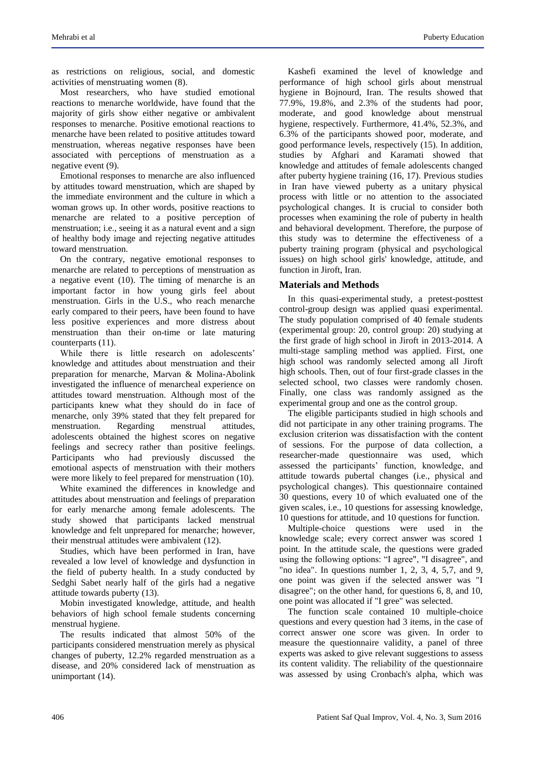as restrictions on religious, social, and domestic activities of menstruating women (8).

Most researchers, who have studied emotional reactions to menarche worldwide, have found that the majority of girls show either negative or ambivalent responses to menarche. Positive emotional reactions to menarche have been related to positive attitudes toward menstruation, whereas negative responses have been associated with perceptions of menstruation as a negative event (9).

Emotional responses to menarche are also influenced by attitudes toward menstruation, which are shaped by the immediate environment and the culture in which a woman grows up. In other words, positive reactions to menarche are related to a positive perception of menstruation; i.e., seeing it as a natural event and a sign of healthy body image and rejecting negative attitudes toward menstruation.

On the contrary, negative emotional responses to menarche are related to perceptions of menstruation as a negative event (10). The timing of menarche is an important factor in how young girls feel about menstruation. Girls in the U.S., who reach menarche early compared to their peers, have been found to have less positive experiences and more distress about menstruation than their on-time or late maturing counterparts (11).

While there is little research on adolescents' knowledge and attitudes about menstruation and their preparation for menarche, Marvan & Molina-Abolink investigated the influence of menarcheal experience on attitudes toward menstruation. Although most of the participants knew what they should do in face of menarche, only 39% stated that they felt prepared for menstruation. Regarding menstrual attitudes, adolescents obtained the highest scores on negative feelings and secrecy rather than positive feelings. Participants who had previously discussed the emotional aspects of menstruation with their mothers were more likely to feel prepared for menstruation (10).

White examined the differences in knowledge and attitudes about menstruation and feelings of preparation for early menarche among female adolescents. The study showed that participants lacked menstrual knowledge and felt unprepared for menarche; however, their menstrual attitudes were ambivalent (12).

Studies, which have been performed in Iran, have revealed a low level of knowledge and dysfunction in the field of puberty health. In a study conducted by Sedghi Sabet nearly half of the girls had a negative attitude towards puberty (13).

Mobin investigated knowledge, attitude, and health behaviors of high school female students concerning menstrual hygiene.

The results indicated that almost 50% of the participants considered menstruation merely as physical changes of puberty, 12.2% regarded menstruation as a disease, and 20% considered lack of menstruation as unimportant (14).

Kashefi examined the level of knowledge and performance of high school girls about menstrual hygiene in Bojnourd, Iran. The results showed that 77.9%, 19.8%, and 2.3% of the students had poor, moderate, and good knowledge about menstrual hygiene, respectively. Furthermore, 41.4%, 52.3%, and 6.3% of the participants showed poor, moderate, and good performance levels, respectively (15). In addition, studies by Afghari and Karamati showed that knowledge and attitudes of female adolescents changed after puberty hygiene training (16, 17). Previous studies in Iran have viewed puberty as a unitary physical process with little or no attention to the associated psychological changes. It is crucial to consider both processes when examining the role of puberty in health and behavioral development. Therefore, the purpose of this study was to determine the effectiveness of a puberty training program (physical and psychological issues) on high school girls' knowledge, attitude, and function in Jiroft, Iran.

# **Materials and Methods**

In this quasi-experimental study, a pretest-posttest control-group design was applied quasi experimental. The study population comprised of 40 female students (experimental group: 20, control group: 20) studying at the first grade of high school in Jiroft in 2013-2014. A multi-stage sampling method was applied. First, one high school was randomly selected among all Jiroft high schools. Then, out of four first-grade classes in the selected school, two classes were randomly chosen. Finally, one class was randomly assigned as the experimental group and one as the control group.

The eligible participants studied in high schools and did not participate in any other training programs. The exclusion criterion was dissatisfaction with the content of sessions. For the purpose of data collection, a researcher-made questionnaire was used, which assessed the participants' function, knowledge, and attitude towards pubertal changes (i.e., physical and psychological changes). This questionnaire contained 30 questions, every 10 of which evaluated one of the given scales, i.e., 10 questions for assessing knowledge, 10 questions for attitude, and 10 questions for function.

Multiple-choice questions were used in the knowledge scale; every correct answer was scored 1 point. In the attitude scale, the questions were graded using the following options: "I agree", "I disagree", and "no idea". In questions number  $1, 2, 3, 4, 5, 7$ , and  $9$ , one point was given if the selected answer was "I disagree"; on the other hand, for questions 6, 8, and 10, one point was allocated if "I gree" was selected.

The function scale contained 10 multiple-choice questions and every question had 3 items, in the case of correct answer one score was given. In order to measure the questionnaire validity, a panel of three experts was asked to give relevant suggestions to assess its content validity. The reliability of the questionnaire was assessed by using Cronbach's alpha, which was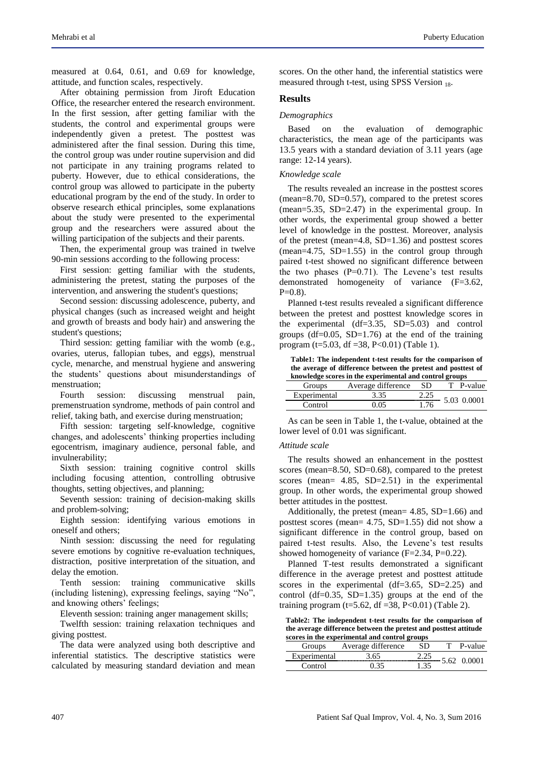measured at 0.64, 0.61, and 0.69 for knowledge, attitude, and function scales, respectively.

After obtaining permission from Jiroft Education Office, the researcher entered the research environment. In the first session, after getting familiar with the students, the control and experimental groups were independently given a pretest. The posttest was administered after the final session. During this time, the control group was under routine supervision and did not participate in any training programs related to puberty. However, due to ethical considerations, the control group was allowed to participate in the puberty educational program by the end of the study. In order to observe research ethical principles, some explanations about the study were presented to the experimental group and the researchers were assured about the willing participation of the subjects and their parents.

Then, the experimental group was trained in twelve 90-min sessions according to the following process:

First session: getting familiar with the students, administering the pretest, stating the purposes of the intervention, and answering the student's questions;

Second session: discussing adolescence, puberty, and physical changes (such as increased weight and height and growth of breasts and body hair) and answering the student's questions;

Third session: getting familiar with the womb (e.g., ovaries, uterus, fallopian tubes, and eggs), menstrual cycle, menarche, and menstrual hygiene and answering the students' questions about misunderstandings of menstruation;

Fourth session: discussing menstrual pain, premenstruation syndrome, methods of pain control and relief, taking bath, and exercise during menstruation;

Fifth session: targeting self-knowledge, cognitive changes, and adolescents' thinking properties including egocentrism, imaginary audience, personal fable, and invulnerability;

Sixth session: training cognitive control skills including focusing attention, controlling obtrusive thoughts, setting objectives, and planning;

Seventh session: training of decision-making skills and problem-solving;

Eighth session: identifying various emotions in oneself and others;

Ninth session: discussing the need for regulating severe emotions by cognitive re-evaluation techniques, distraction, positive interpretation of the situation, and delay the emotion.

Tenth session: training communicative skills (including listening), expressing feelings, saying "No", and knowing others' feelings;

Eleventh session: training anger management skills;

Twelfth session: training relaxation techniques and giving posttest.

The data were analyzed using both descriptive and inferential statistics. The descriptive statistics were calculated by measuring standard deviation and mean scores. On the other hand, the inferential statistics were measured through t-test, using SPSS Version 18.

### **Results**

## *Demographics*

Based on the evaluation of demographic characteristics, the mean age of the participants was 13.5 years with a standard deviation of 3.11 years (age range: 12-14 years).

## *Knowledge scale*

The results revealed an increase in the posttest scores (mean=8.70, SD=0.57), compared to the pretest scores (mean=5.35, SD=2.47) in the experimental group. In other words, the experimental group showed a better level of knowledge in the posttest. Moreover, analysis of the pretest (mean=4.8, SD=1.36) and posttest scores  $(mean=4.75, SD=1.55)$  in the control group through paired t-test showed no significant difference between the two phases  $(P=0.71)$ . The Levene's test results demonstrated homogeneity of variance (F=3.62,  $P=0.8$ ).

Planned t-test results revealed a significant difference between the pretest and posttest knowledge scores in the experimental (df=3.35, SD=5.03) and control groups  $(df=0.05, SD=1.76)$  at the end of the training program (t=5.03, df =38, P<0.01) (Table 1).

**Table1: The independent t-test results for the comparison of the average of difference between the pretest and posttest of knowledge scores in the experimental and control groups**

| Groups       | Average difference | -SD | T P-value   |
|--------------|--------------------|-----|-------------|
| Experimental | 3.35               |     | 5.03 0.0001 |
| Control      | በ በና               | .76 |             |

As can be seen in Table 1, the t-value, obtained at the lower level of 0.01 was significant.

#### *Attitude scale*

The results showed an enhancement in the posttest scores (mean=8.50, SD=0.68), compared to the pretest scores (mean= 4.85, SD=2.51) in the experimental group. In other words, the experimental group showed better attitudes in the posttest.

Additionally, the pretest (mean=  $4.85$ , SD=1.66) and posttest scores (mean= 4.75, SD=1.55) did not show a significant difference in the control group, based on paired t-test results. Also, the Levene's test results showed homogeneity of variance  $(F=2.34, P=0.22)$ .

Planned T-test results demonstrated a significant difference in the average pretest and posttest attitude scores in the experimental  $(df=3.65, SD=2.25)$  and control (df= $0.35$ , SD= $1.35$ ) groups at the end of the training program (t=5.62, df =38, P<0.01) (Table 2).

**Table2: The independent t-test results for the comparison of the average difference between the pretest and posttest attitude scores in the experimental and control groups**

| Groups              | Average difference |     | P-value |
|---------------------|--------------------|-----|---------|
| <b>Experiment</b> » |                    |     |         |
|                     |                    | .25 |         |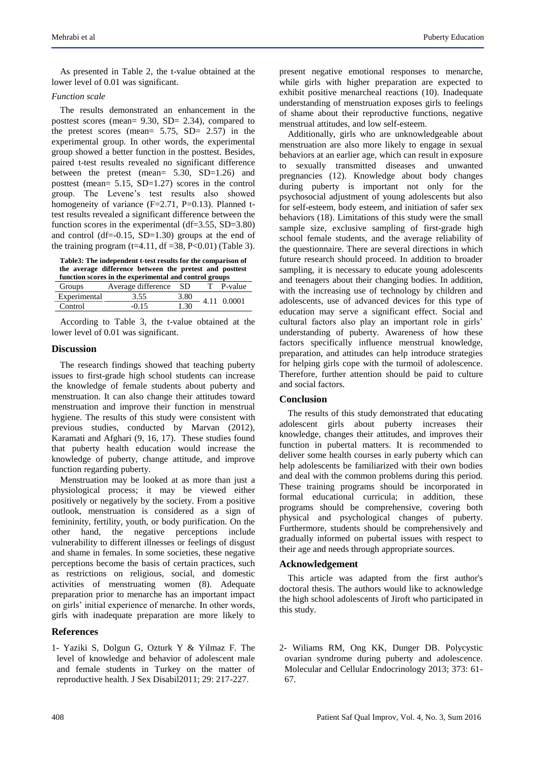As presented in Table 2, the t-value obtained at the lower level of 0.01 was significant.

# *Function scale*

The results demonstrated an enhancement in the posttest scores (mean= 9.30, SD= 2.34), compared to the pretest scores (mean=  $5.75$ , SD=  $2.57$ ) in the experimental group. In other words, the experimental group showed a better function in the posttest. Besides, paired t-test results revealed no significant difference between the pretest (mean= 5.30, SD=1.26) and posttest (mean= 5.15, SD=1.27) scores in the control group. The Levene's test results also showed homogeneity of variance  $(F=2.71, P=0.13)$ . Planned ttest results revealed a significant difference between the function scores in the experimental (df=3.55, SD=3.80) and control (df=-0.15,  $SD=1.30$ ) groups at the end of the training program  $(t=4.11, df = 38, P < 0.01)$  (Table 3).

**Table3: The independent t-test results for the comparison of the average difference between the pretest and posttest** 

| function scores in the experimental and control groups |                    |         |  |         |  |
|--------------------------------------------------------|--------------------|---------|--|---------|--|
| Groups                                                 | Average difference | - SD    |  | P-value |  |
| Experimental                                           | 3.55               | 3.80    |  | 0.0001  |  |
| Control                                                | -0.15              | $.30 -$ |  |         |  |
|                                                        |                    |         |  |         |  |

According to Table 3, the t-value obtained at the lower level of 0.01 was significant.

# **Discussion**

The research findings showed that teaching puberty issues to first-grade high school students can increase the knowledge of female students about puberty and menstruation. It can also change their attitudes toward menstruation and improve their function in menstrual hygiene. The results of this study were consistent with previous studies, conducted by Marvan (2012), Karamati and Afghari (9, 16, 17). These studies found that puberty health education would increase the knowledge of puberty, change attitude, and improve function regarding puberty.

Menstruation may be looked at as more than just a physiological process; it may be viewed either positively or negatively by the society. From a positive outlook, menstruation is considered as a sign of femininity, fertility, youth, or body purification. On the other hand, the negative perceptions include vulnerability to different illnesses or feelings of disgust and shame in females. In some societies, these negative perceptions become the basis of certain practices, such as restrictions on religious, social, and domestic activities of menstruating women (8). Adequate preparation prior to menarche has an important impact on girls' initial experience of menarche. In other words, girls with inadequate preparation are more likely to

# **References**

1- Yaziki S, Dolgun G, Ozturk Y & Yilmaz F. The level of knowledge and behavior of adolescent male and female students in Turkey on the matter of reproductive health. J Sex Disabil2011; 29: 217-227.

present negative emotional responses to menarche, while girls with higher preparation are expected to exhibit positive menarcheal reactions (10). Inadequate understanding of menstruation exposes girls to feelings of shame about their reproductive functions, negative menstrual attitudes, and low self-esteem.

Additionally, girls who are unknowledgeable about menstruation are also more likely to engage in sexual behaviors at an earlier age, which can result in exposure to sexually transmitted diseases and unwanted pregnancies (12). Knowledge about body changes during puberty is important not only for the psychosocial adjustment of young adolescents but also for self-esteem, body esteem, and initiation of safer sex behaviors (18). Limitations of this study were the small sample size, exclusive sampling of first-grade high school female students, and the average reliability of the questionnaire. There are several directions in which future research should proceed. In addition to broader sampling, it is necessary to educate young adolescents and teenagers about their changing bodies. In addition, with the increasing use of technology by children and adolescents, use of advanced devices for this type of education may serve a significant effect. Social and cultural factors also play an important role in girls' understanding of puberty. Awareness of how these factors specifically influence menstrual knowledge, preparation, and attitudes can help introduce strategies for helping girls cope with the turmoil of adolescence. Therefore, further attention should be paid to culture and social factors.

# **Conclusion**

The results of this study demonstrated that educating adolescent girls about puberty increases their knowledge, changes their attitudes, and improves their function in pubertal matters. It is recommended to deliver some health courses in early puberty which can help adolescents be familiarized with their own bodies and deal with the common problems during this period. These training programs should be incorporated in formal educational curricula; in addition, these programs should be comprehensive, covering both physical and psychological changes of puberty. Furthermore, students should be comprehensively and gradually informed on pubertal issues with respect to their age and needs through appropriate sources.

## **Acknowledgement**

This article was adapted from the first author's doctoral thesis. The authors would like to acknowledge the high school adolescents of Jiroft who participated in this study.

2- Wiliams RM, Ong KK, Dunger DB. Polycystic ovarian syndrome during puberty and adolescence. Molecular and Cellular Endocrinology 2013; 373: 61- 67.